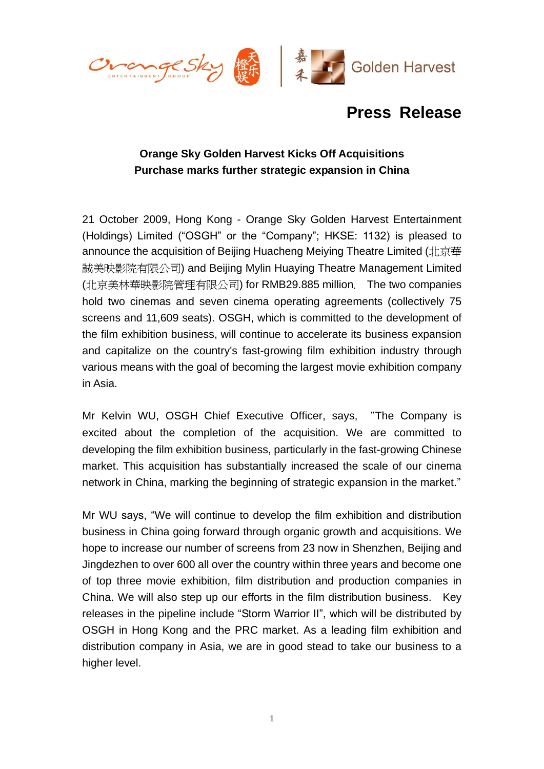

# **Press Release**

## **Orange Sky Golden Harvest Kicks Off Acquisitions Purchase marks further strategic expansion in China**

21 October 2009, Hong Kong - Orange Sky Golden Harvest Entertainment (Holdings) Limited ("OSGH" or the "Company"; HKSE: 1132) is pleased to announce the acquisition of Beijing Huacheng Meiying Theatre Limited (北京華 誠美映影院有限公司) and Beijing Mylin Huaying Theatre Management Limited (北京美林華映影院管理有限公司) for RMB29.885 million. The two companies hold two cinemas and seven cinema operating agreements (collectively 75 screens and 11,609 seats). OSGH, which is committed to the development of the film exhibition business, will continue to accelerate its business expansion and capitalize on the country's fast-growing film exhibition industry through various means with the goal of becoming the largest movie exhibition company in Asia.

Mr Kelvin WU, OSGH Chief Executive Officer, says, "The Company is excited about the completion of the acquisition. We are committed to developing the film exhibition business, particularly in the fast-growing Chinese market. This acquisition has substantially increased the scale of our cinema network in China, marking the beginning of strategic expansion in the market."

Mr WU says, "We will continue to develop the film exhibition and distribution business in China going forward through organic growth and acquisitions. We hope to increase our number of screens from 23 now in Shenzhen, Beijing and Jingdezhen to over 600 all over the country within three years and become one of top three movie exhibition, film distribution and production companies in China. We will also step up our efforts in the film distribution business. Key releases in the pipeline include "Storm Warrior II", which will be distributed by OSGH in Hong Kong and the PRC market. As a leading film exhibition and distribution company in Asia, we are in good stead to take our business to a higher level.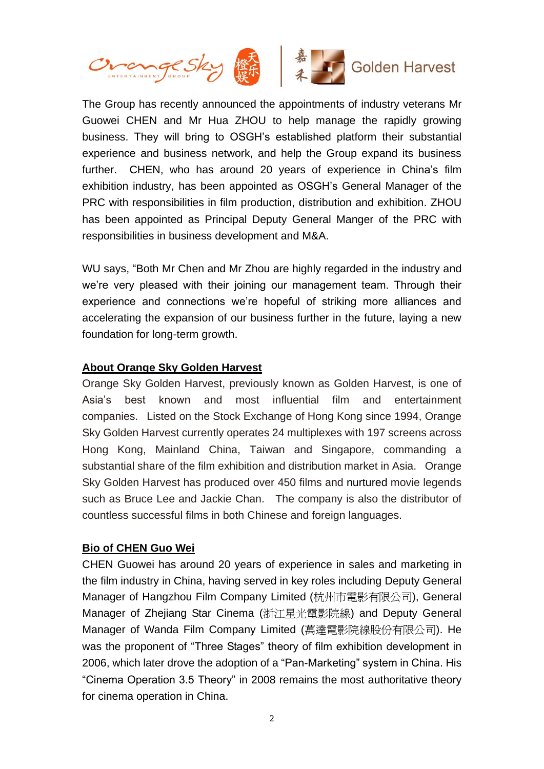

The Group has recently announced the appointments of industry veterans Mr Guowei CHEN and Mr Hua ZHOU to help manage the rapidly growing business. They will bring to OSGH's established platform their substantial experience and business network, and help the Group expand its business further. CHEN, who has around 20 years of experience in China's film exhibition industry, has been appointed as OSGH's General Manager of the PRC with responsibilities in film production, distribution and exhibition. ZHOU has been appointed as Principal Deputy General Manger of the PRC with responsibilities in business development and M&A.

WU says, "Both Mr Chen and Mr Zhou are highly regarded in the industry and we're very pleased with their joining our management team. Through their experience and connections we're hopeful of striking more alliances and accelerating the expansion of our business further in the future, laying a new foundation for long-term growth.

#### **About Orange Sky Golden Harvest**

Orange Sky Golden Harvest, previously known as Golden Harvest, is one of Asia's best known and most influential film and entertainment companies. Listed on the Stock Exchange of Hong Kong since 1994, Orange Sky Golden Harvest currently operates 24 multiplexes with 197 screens across Hong Kong, Mainland China, Taiwan and Singapore, commanding a substantial share of the film exhibition and distribution market in Asia. Orange Sky Golden Harvest has produced over 450 films and nurtured movie legends such as Bruce Lee and Jackie Chan. The company is also the distributor of countless successful films in both Chinese and foreign languages.

### **Bio of CHEN Guo Wei**

CHEN Guowei has around 20 years of experience in sales and marketing in the film industry in China, having served in key roles including Deputy General Manager of Hangzhou Film Company Limited (杭州市電影有限公司), General Manager of Zhejiang Star Cinema (浙江星光電影院線) and Deputy General Manager of Wanda Film Company Limited (萬達電影院線股份有限公司). He was the proponent of "Three Stages" theory of film exhibition development in 2006, which later drove the adoption of a "Pan-Marketing" system in China. His "Cinema Operation 3.5 Theory" in 2008 remains the most authoritative theory for cinema operation in China.